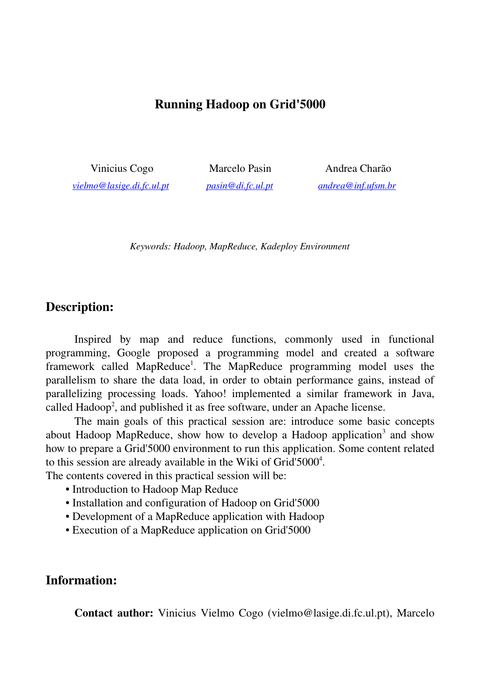## Running Hadoop on Grid'5000

Vinicius Cogo Marcelo Pasin Andrea Charão *[vielmo@lasige.di.fc.ul.pt](mailto:vielmo@lasige.di.fc.ul.pt) [pasin@di.fc.ul.pt](mailto:pasin@di.fc.ul.pt) [andrea@inf.ufsm.br](mailto:andrea@inf.ufsm.br)*

*Keywords: Hadoop, MapReduce, Kadeploy Environment*

## Description:

Inspired by map and reduce functions, commonly used in functional programming, Google proposed a programming model and created a software framework called MapReduce<sup>1</sup>. The MapReduce programming model uses the parallelism to share the data load, in order to obtain performance gains, instead of parallelizing processing loads. Yahoo! implemented a similar framework in Java, called Hadoop<sup>2</sup>, and published it as free software, under an Apache license.

The main goals of this practical session are: introduce some basic concepts about Hadoop MapReduce, show how to develop a Hadoop application<sup>3</sup> and show how to prepare a Grid'5000 environment to run this application. Some content related to this session are already available in the Wiki of Grid'5000<sup>4</sup>.

The contents covered in this practical session will be:

- Introduction to Hadoop Map Reduce
- Installation and configuration of Hadoop on Grid'5000
- Development of a MapReduce application with Hadoop
- Execution of a MapReduce application on Grid'5000

## Information:

Contact author: Vinicius Vielmo Cogo (vielmo@lasige.di.fc.ul.pt), Marcelo